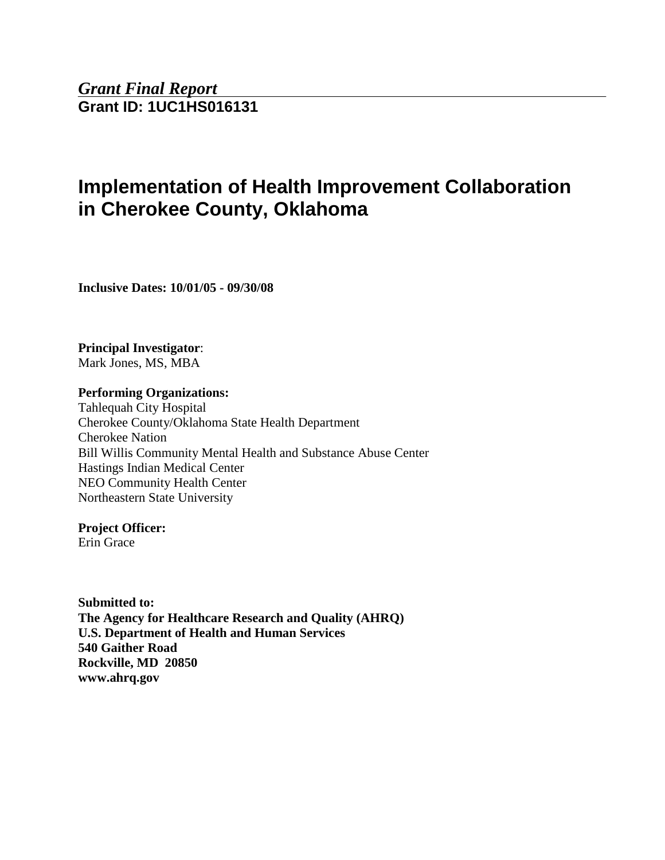*Grant Final Report* **Grant ID: 1UC1HS016131**

# **Implementation of Health Improvement Collaboration in Cherokee County, Oklahoma**

**Inclusive Dates: 10/01/05 - 09/30/08**

**Principal Investigator**: Mark Jones, MS, MBA

**Performing Organizations:** 

Tahlequah City Hospital Cherokee County/Oklahoma State Health Department Cherokee Nation Bill Willis Community Mental Health and Substance Abuse Center Hastings Indian Medical Center NEO Community Health Center Northeastern State University

**Project Officer:** 

Erin Grace

**Submitted to: The Agency for Healthcare Research and Quality (AHRQ) U.S. Department of Health and Human Services 540 Gaither Road Rockville, MD 20850 www.ahrq.gov**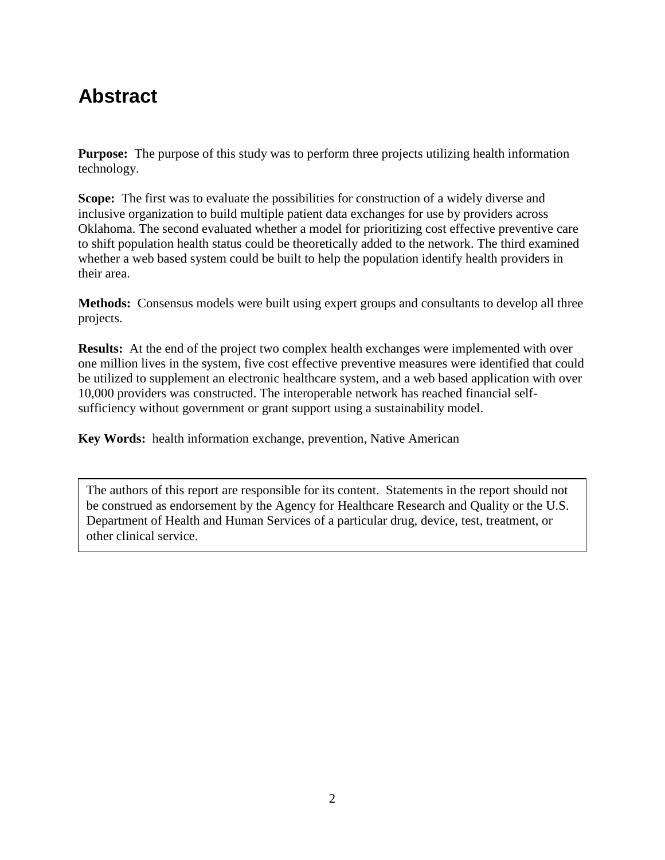# **Abstract**

**Purpose:** The purpose of this study was to perform three projects utilizing health information technology.

**Scope:** The first was to evaluate the possibilities for construction of a widely diverse and inclusive organization to build multiple patient data exchanges for use by providers across Oklahoma. The second evaluated whether a model for prioritizing cost effective preventive care to shift population health status could be theoretically added to the network. The third examined whether a web based system could be built to help the population identify health providers in their area.

**Methods:** Consensus models were built using expert groups and consultants to develop all three projects.

**Results:** At the end of the project two complex health exchanges were implemented with over one million lives in the system, five cost effective preventive measures were identified that could be utilized to supplement an electronic healthcare system, and a web based application with over 10,000 providers was constructed. The interoperable network has reached financial selfsufficiency without government or grant support using a sustainability model.

**Key Words:** health information exchange, prevention, Native American

The authors of this report are responsible for its content. Statements in the report should not be construed as endorsement by the Agency for Healthcare Research and Quality or the U.S. Department of Health and Human Services of a particular drug, device, test, treatment, or other clinical service.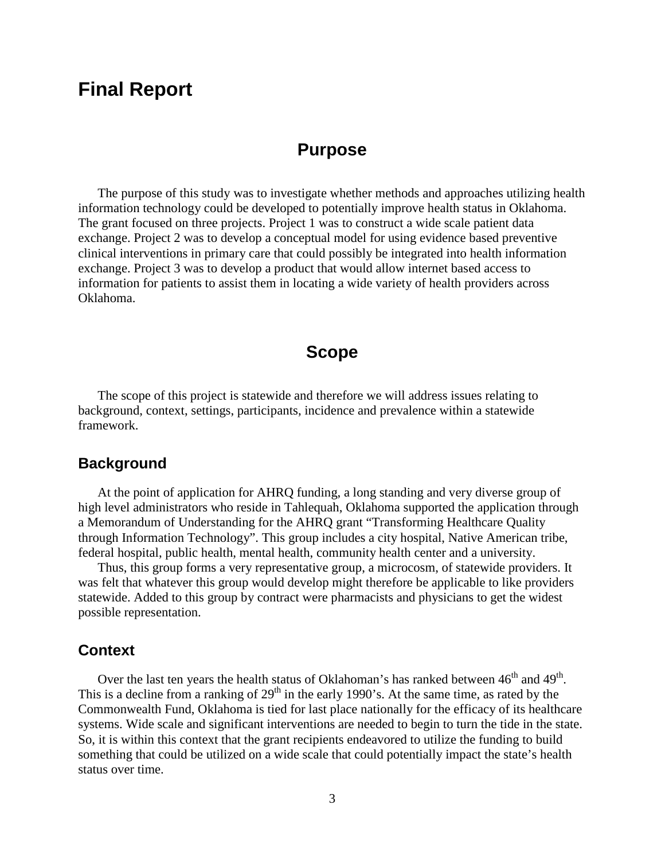# **Final Report**

### **Purpose**

The purpose of this study was to investigate whether methods and approaches utilizing health information technology could be developed to potentially improve health status in Oklahoma. The grant focused on three projects. Project 1 was to construct a wide scale patient data exchange. Project 2 was to develop a conceptual model for using evidence based preventive clinical interventions in primary care that could possibly be integrated into health information exchange. Project 3 was to develop a product that would allow internet based access to information for patients to assist them in locating a wide variety of health providers across Oklahoma.

# **Scope**

The scope of this project is statewide and therefore we will address issues relating to background, context, settings, participants, incidence and prevalence within a statewide framework.

#### **Background**

At the point of application for AHRQ funding, a long standing and very diverse group of high level administrators who reside in Tahlequah, Oklahoma supported the application through a Memorandum of Understanding for the AHRQ grant "Transforming Healthcare Quality through Information Technology". This group includes a city hospital, Native American tribe, federal hospital, public health, mental health, community health center and a university.

Thus, this group forms a very representative group, a microcosm, of statewide providers. It was felt that whatever this group would develop might therefore be applicable to like providers statewide. Added to this group by contract were pharmacists and physicians to get the widest possible representation.

#### **Context**

Over the last ten years the health status of Oklahoman's has ranked between  $46^{th}$  and  $49^{th}$ . This is a decline from a ranking of  $29<sup>th</sup>$  in the early 1990's. At the same time, as rated by the Commonwealth Fund, Oklahoma is tied for last place nationally for the efficacy of its healthcare systems. Wide scale and significant interventions are needed to begin to turn the tide in the state. So, it is within this context that the grant recipients endeavored to utilize the funding to build something that could be utilized on a wide scale that could potentially impact the state's health status over time.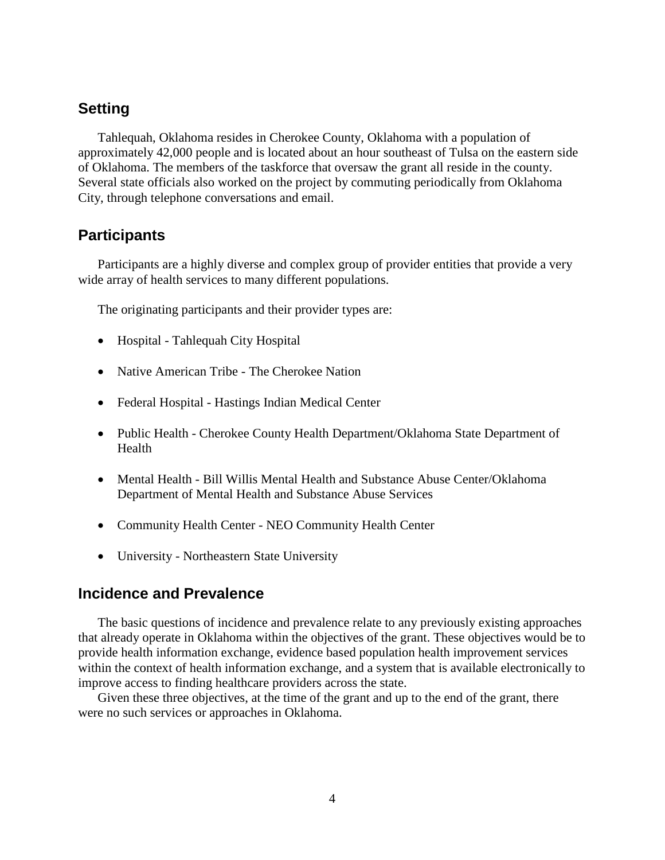# **Setting**

Tahlequah, Oklahoma resides in Cherokee County, Oklahoma with a population of approximately 42,000 people and is located about an hour southeast of Tulsa on the eastern side of Oklahoma. The members of the taskforce that oversaw the grant all reside in the county. Several state officials also worked on the project by commuting periodically from Oklahoma City, through telephone conversations and email.

#### **Participants**

Participants are a highly diverse and complex group of provider entities that provide a very wide array of health services to many different populations.

The originating participants and their provider types are:

- Hospital Tahlequah City Hospital
- Native American Tribe The Cherokee Nation
- Federal Hospital Hastings Indian Medical Center
- Public Health Cherokee County Health Department/Oklahoma State Department of Health
- Mental Health Bill Willis Mental Health and Substance Abuse Center/Oklahoma Department of Mental Health and Substance Abuse Services
- Community Health Center NEO Community Health Center
- University Northeastern State University

#### **Incidence and Prevalence**

The basic questions of incidence and prevalence relate to any previously existing approaches that already operate in Oklahoma within the objectives of the grant. These objectives would be to provide health information exchange, evidence based population health improvement services within the context of health information exchange, and a system that is available electronically to improve access to finding healthcare providers across the state.

Given these three objectives, at the time of the grant and up to the end of the grant, there were no such services or approaches in Oklahoma.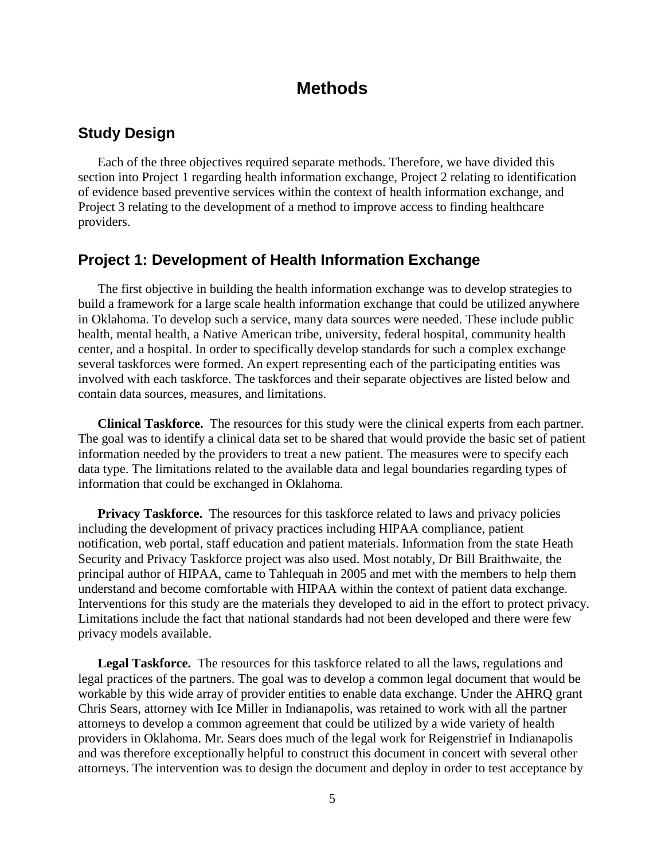# **Methods**

### **Study Design**

Each of the three objectives required separate methods. Therefore, we have divided this section into Project 1 regarding health information exchange, Project 2 relating to identification of evidence based preventive services within the context of health information exchange, and Project 3 relating to the development of a method to improve access to finding healthcare providers.

#### **Project 1: Development of Health Information Exchange**

The first objective in building the health information exchange was to develop strategies to build a framework for a large scale health information exchange that could be utilized anywhere in Oklahoma. To develop such a service, many data sources were needed. These include public health, mental health, a Native American tribe, university, federal hospital, community health center, and a hospital. In order to specifically develop standards for such a complex exchange several taskforces were formed. An expert representing each of the participating entities was involved with each taskforce. The taskforces and their separate objectives are listed below and contain data sources, measures, and limitations.

**Clinical Taskforce.** The resources for this study were the clinical experts from each partner. The goal was to identify a clinical data set to be shared that would provide the basic set of patient information needed by the providers to treat a new patient. The measures were to specify each data type. The limitations related to the available data and legal boundaries regarding types of information that could be exchanged in Oklahoma.

**Privacy Taskforce.** The resources for this taskforce related to laws and privacy policies including the development of privacy practices including HIPAA compliance, patient notification, web portal, staff education and patient materials. Information from the state Heath Security and Privacy Taskforce project was also used. Most notably, Dr Bill Braithwaite, the principal author of HIPAA, came to Tahlequah in 2005 and met with the members to help them understand and become comfortable with HIPAA within the context of patient data exchange. Interventions for this study are the materials they developed to aid in the effort to protect privacy. Limitations include the fact that national standards had not been developed and there were few privacy models available.

**Legal Taskforce.** The resources for this taskforce related to all the laws, regulations and legal practices of the partners. The goal was to develop a common legal document that would be workable by this wide array of provider entities to enable data exchange. Under the AHRQ grant Chris Sears, attorney with Ice Miller in Indianapolis, was retained to work with all the partner attorneys to develop a common agreement that could be utilized by a wide variety of health providers in Oklahoma. Mr. Sears does much of the legal work for Reigenstrief in Indianapolis and was therefore exceptionally helpful to construct this document in concert with several other attorneys. The intervention was to design the document and deploy in order to test acceptance by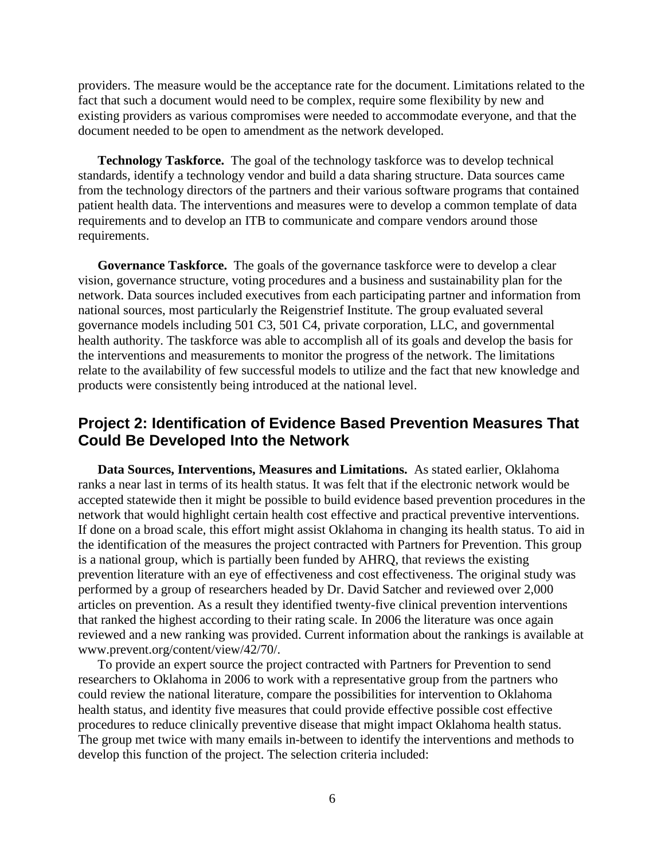providers. The measure would be the acceptance rate for the document. Limitations related to the fact that such a document would need to be complex, require some flexibility by new and existing providers as various compromises were needed to accommodate everyone, and that the document needed to be open to amendment as the network developed.

**Technology Taskforce.** The goal of the technology taskforce was to develop technical standards, identify a technology vendor and build a data sharing structure. Data sources came from the technology directors of the partners and their various software programs that contained patient health data. The interventions and measures were to develop a common template of data requirements and to develop an ITB to communicate and compare vendors around those requirements.

**Governance Taskforce.** The goals of the governance taskforce were to develop a clear vision, governance structure, voting procedures and a business and sustainability plan for the network. Data sources included executives from each participating partner and information from national sources, most particularly the Reigenstrief Institute. The group evaluated several governance models including 501 C3, 501 C4, private corporation, LLC, and governmental health authority. The taskforce was able to accomplish all of its goals and develop the basis for the interventions and measurements to monitor the progress of the network. The limitations relate to the availability of few successful models to utilize and the fact that new knowledge and products were consistently being introduced at the national level.

## **Project 2: Identification of Evidence Based Prevention Measures That Could Be Developed Into the Network**

**Data Sources, Interventions, Measures and Limitations.** As stated earlier, Oklahoma ranks a near last in terms of its health status. It was felt that if the electronic network would be accepted statewide then it might be possible to build evidence based prevention procedures in the network that would highlight certain health cost effective and practical preventive interventions. If done on a broad scale, this effort might assist Oklahoma in changing its health status. To aid in the identification of the measures the project contracted with Partners for Prevention. This group is a national group, which is partially been funded by AHRQ, that reviews the existing prevention literature with an eye of effectiveness and cost effectiveness. The original study was performed by a group of researchers headed by Dr. David Satcher and reviewed over 2,000 articles on prevention. As a result they identified twenty-five clinical prevention interventions that ranked the highest according to their rating scale. In 2006 the literature was once again reviewed and a new ranking was provided. Current information about the rankings is available at www.prevent.org/content/view/42/70/.

To provide an expert source the project contracted with Partners for Prevention to send researchers to Oklahoma in 2006 to work with a representative group from the partners who could review the national literature, compare the possibilities for intervention to Oklahoma health status, and identity five measures that could provide effective possible cost effective procedures to reduce clinically preventive disease that might impact Oklahoma health status. The group met twice with many emails in-between to identify the interventions and methods to develop this function of the project. The selection criteria included: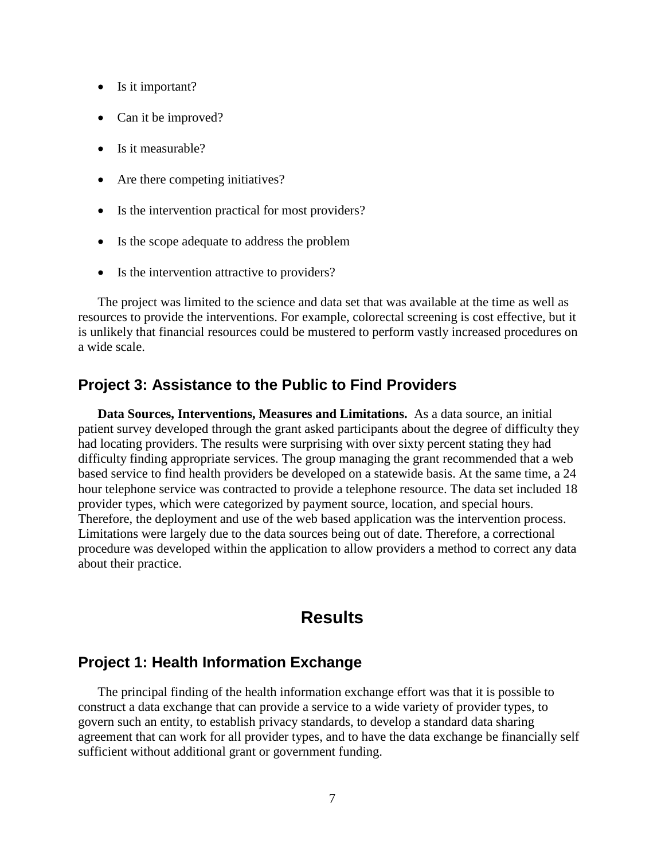- Is it important?
- Can it be improved?
- Is it measurable?
- Are there competing initiatives?
- Is the intervention practical for most providers?
- Is the scope adequate to address the problem
- Is the intervention attractive to providers?

The project was limited to the science and data set that was available at the time as well as resources to provide the interventions. For example, colorectal screening is cost effective, but it is unlikely that financial resources could be mustered to perform vastly increased procedures on a wide scale.

#### **Project 3: Assistance to the Public to Find Providers**

**Data Sources, Interventions, Measures and Limitations.** As a data source, an initial patient survey developed through the grant asked participants about the degree of difficulty they had locating providers. The results were surprising with over sixty percent stating they had difficulty finding appropriate services. The group managing the grant recommended that a web based service to find health providers be developed on a statewide basis. At the same time, a 24 hour telephone service was contracted to provide a telephone resource. The data set included 18 provider types, which were categorized by payment source, location, and special hours. Therefore, the deployment and use of the web based application was the intervention process. Limitations were largely due to the data sources being out of date. Therefore, a correctional procedure was developed within the application to allow providers a method to correct any data about their practice.

## **Results**

#### **Project 1: Health Information Exchange**

The principal finding of the health information exchange effort was that it is possible to construct a data exchange that can provide a service to a wide variety of provider types, to govern such an entity, to establish privacy standards, to develop a standard data sharing agreement that can work for all provider types, and to have the data exchange be financially self sufficient without additional grant or government funding.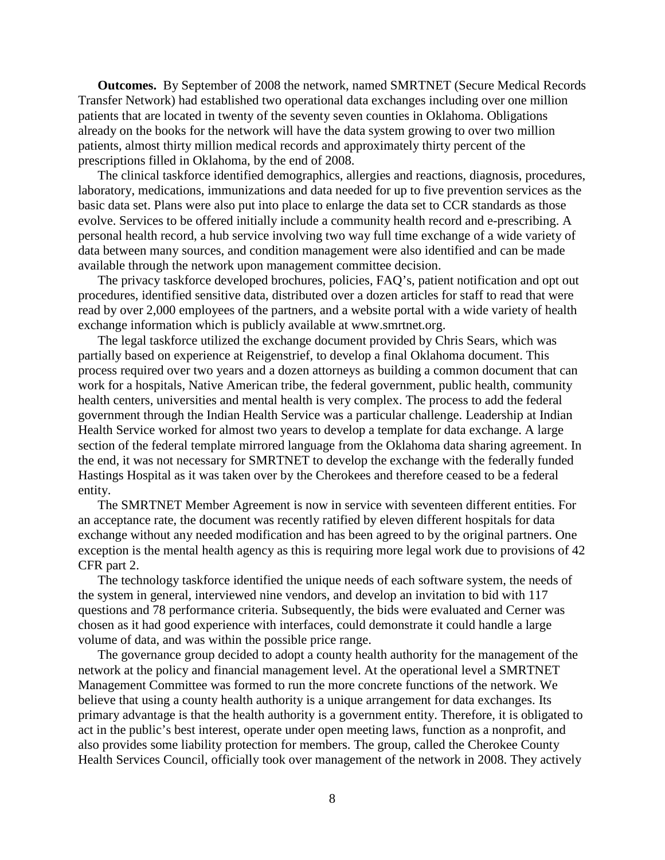**Outcomes.** By September of 2008 the network, named SMRTNET (Secure Medical Records Transfer Network) had established two operational data exchanges including over one million patients that are located in twenty of the seventy seven counties in Oklahoma. Obligations already on the books for the network will have the data system growing to over two million patients, almost thirty million medical records and approximately thirty percent of the prescriptions filled in Oklahoma, by the end of 2008.

The clinical taskforce identified demographics, allergies and reactions, diagnosis, procedures, laboratory, medications, immunizations and data needed for up to five prevention services as the basic data set. Plans were also put into place to enlarge the data set to CCR standards as those evolve. Services to be offered initially include a community health record and e-prescribing. A personal health record, a hub service involving two way full time exchange of a wide variety of data between many sources, and condition management were also identified and can be made available through the network upon management committee decision.

The privacy taskforce developed brochures, policies, FAQ's, patient notification and opt out procedures, identified sensitive data, distributed over a dozen articles for staff to read that were read by over 2,000 employees of the partners, and a website portal with a wide variety of health exchange information which is publicly available at www.smrtnet.org.

The legal taskforce utilized the exchange document provided by Chris Sears, which was partially based on experience at Reigenstrief, to develop a final Oklahoma document. This process required over two years and a dozen attorneys as building a common document that can work for a hospitals, Native American tribe, the federal government, public health, community health centers, universities and mental health is very complex. The process to add the federal government through the Indian Health Service was a particular challenge. Leadership at Indian Health Service worked for almost two years to develop a template for data exchange. A large section of the federal template mirrored language from the Oklahoma data sharing agreement. In the end, it was not necessary for SMRTNET to develop the exchange with the federally funded Hastings Hospital as it was taken over by the Cherokees and therefore ceased to be a federal entity.

The SMRTNET Member Agreement is now in service with seventeen different entities. For an acceptance rate, the document was recently ratified by eleven different hospitals for data exchange without any needed modification and has been agreed to by the original partners. One exception is the mental health agency as this is requiring more legal work due to provisions of 42 CFR part 2.

The technology taskforce identified the unique needs of each software system, the needs of the system in general, interviewed nine vendors, and develop an invitation to bid with 117 questions and 78 performance criteria. Subsequently, the bids were evaluated and Cerner was chosen as it had good experience with interfaces, could demonstrate it could handle a large volume of data, and was within the possible price range.

The governance group decided to adopt a county health authority for the management of the network at the policy and financial management level. At the operational level a SMRTNET Management Committee was formed to run the more concrete functions of the network. We believe that using a county health authority is a unique arrangement for data exchanges. Its primary advantage is that the health authority is a government entity. Therefore, it is obligated to act in the public's best interest, operate under open meeting laws, function as a nonprofit, and also provides some liability protection for members. The group, called the Cherokee County Health Services Council, officially took over management of the network in 2008. They actively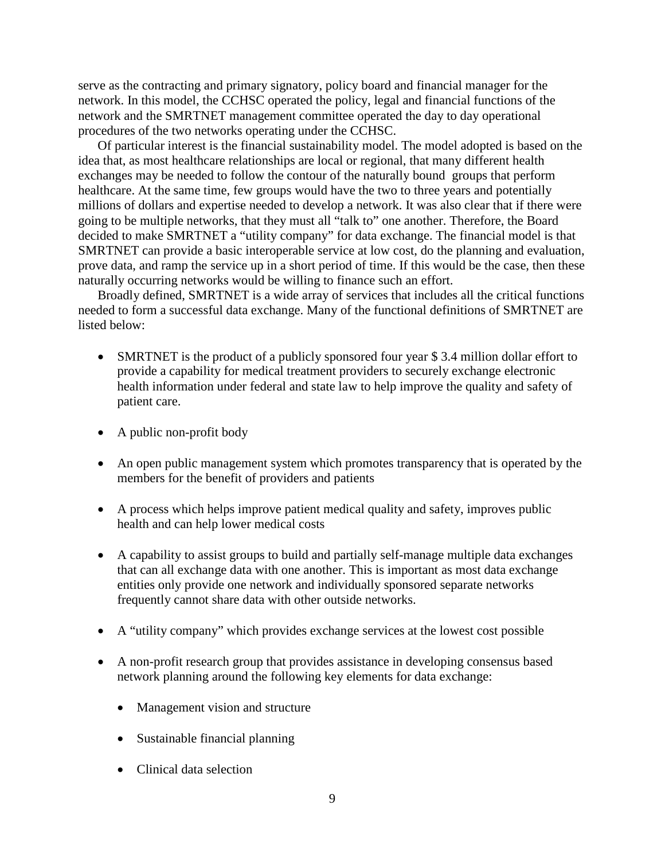serve as the contracting and primary signatory, policy board and financial manager for the network. In this model, the CCHSC operated the policy, legal and financial functions of the network and the SMRTNET management committee operated the day to day operational procedures of the two networks operating under the CCHSC.

Of particular interest is the financial sustainability model. The model adopted is based on the idea that, as most healthcare relationships are local or regional, that many different health exchanges may be needed to follow the contour of the naturally bound groups that perform healthcare. At the same time, few groups would have the two to three years and potentially millions of dollars and expertise needed to develop a network. It was also clear that if there were going to be multiple networks, that they must all "talk to" one another. Therefore, the Board decided to make SMRTNET a "utility company" for data exchange. The financial model is that SMRTNET can provide a basic interoperable service at low cost, do the planning and evaluation, prove data, and ramp the service up in a short period of time. If this would be the case, then these naturally occurring networks would be willing to finance such an effort.

Broadly defined, SMRTNET is a wide array of services that includes all the critical functions needed to form a successful data exchange. Many of the functional definitions of SMRTNET are listed below:

- SMRTNET is the product of a publicly sponsored four year \$3.4 million dollar effort to provide a capability for medical treatment providers to securely exchange electronic health information under federal and state law to help improve the quality and safety of patient care.
- A public non-profit body
- An open public management system which promotes transparency that is operated by the members for the benefit of providers and patients
- A process which helps improve patient medical quality and safety, improves public health and can help lower medical costs
- A capability to assist groups to build and partially self-manage multiple data exchanges that can all exchange data with one another. This is important as most data exchange entities only provide one network and individually sponsored separate networks frequently cannot share data with other outside networks.
- A "utility company" which provides exchange services at the lowest cost possible
- A non-profit research group that provides assistance in developing consensus based network planning around the following key elements for data exchange:
	- Management vision and structure
	- Sustainable financial planning
	- Clinical data selection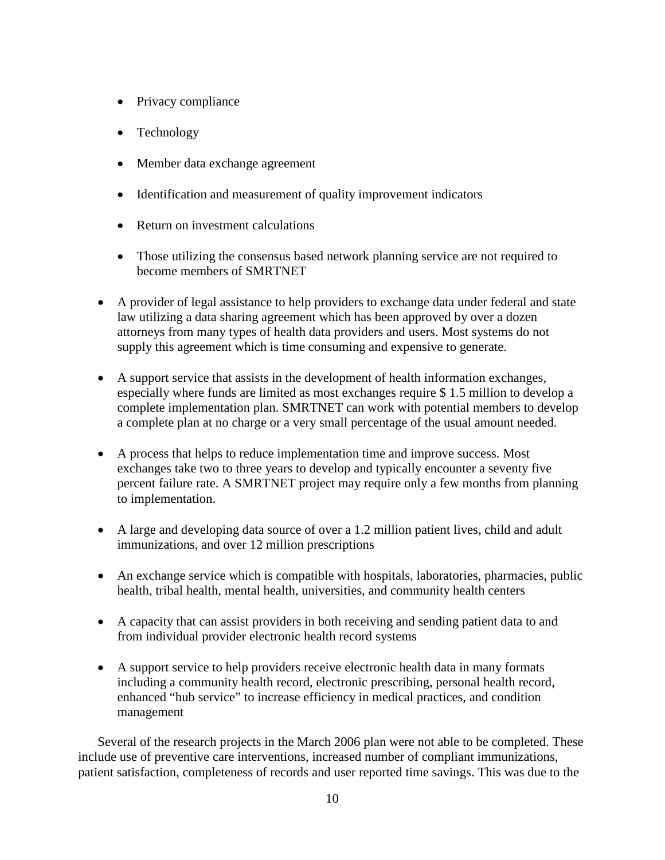- Privacy compliance
- Technology
- Member data exchange agreement
- Identification and measurement of quality improvement indicators
- Return on investment calculations
- Those utilizing the consensus based network planning service are not required to become members of SMRTNET
- A provider of legal assistance to help providers to exchange data under federal and state law utilizing a data sharing agreement which has been approved by over a dozen attorneys from many types of health data providers and users. Most systems do not supply this agreement which is time consuming and expensive to generate.
- A support service that assists in the development of health information exchanges, especially where funds are limited as most exchanges require \$ 1.5 million to develop a complete implementation plan. SMRTNET can work with potential members to develop a complete plan at no charge or a very small percentage of the usual amount needed.
- A process that helps to reduce implementation time and improve success. Most exchanges take two to three years to develop and typically encounter a seventy five percent failure rate. A SMRTNET project may require only a few months from planning to implementation.
- A large and developing data source of over a 1.2 million patient lives, child and adult immunizations, and over 12 million prescriptions
- An exchange service which is compatible with hospitals, laboratories, pharmacies, public health, tribal health, mental health, universities, and community health centers
- A capacity that can assist providers in both receiving and sending patient data to and from individual provider electronic health record systems
- A support service to help providers receive electronic health data in many formats including a community health record, electronic prescribing, personal health record, enhanced "hub service" to increase efficiency in medical practices, and condition management

Several of the research projects in the March 2006 plan were not able to be completed. These include use of preventive care interventions, increased number of compliant immunizations, patient satisfaction, completeness of records and user reported time savings. This was due to the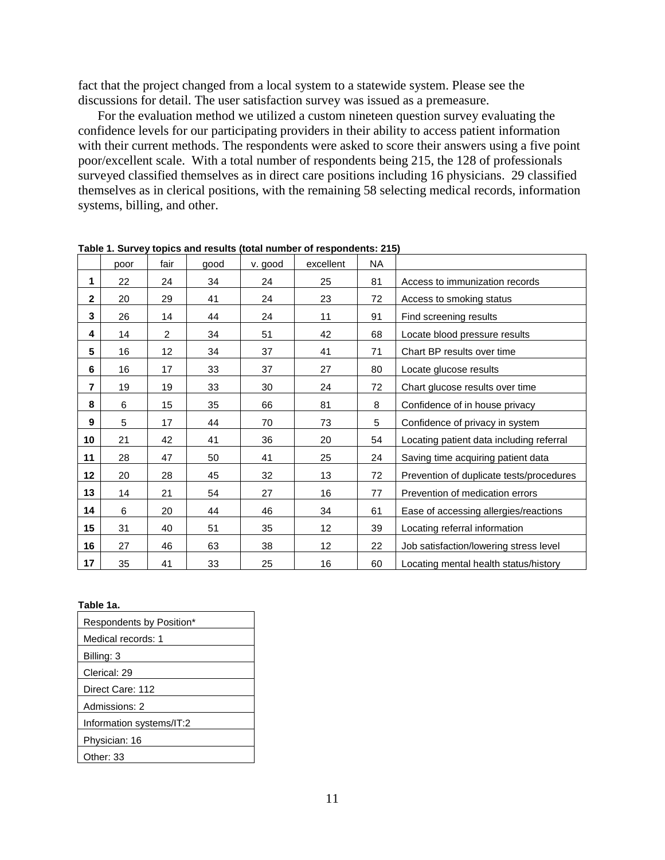fact that the project changed from a local system to a statewide system. Please see the discussions for detail. The user satisfaction survey was issued as a premeasure.

For the evaluation method we utilized a custom nineteen question survey evaluating the confidence levels for our participating providers in their ability to access patient information with their current methods. The respondents were asked to score their answers using a five point poor/excellent scale. With a total number of respondents being 215, the 128 of professionals surveyed classified themselves as in direct care positions including 16 physicians. 29 classified themselves as in clerical positions, with the remaining 58 selecting medical records, information systems, billing, and other.

|                | poor | fair            | good | v. good | excellent | <b>NA</b> |                                          |
|----------------|------|-----------------|------|---------|-----------|-----------|------------------------------------------|
| 1              | 22   | 24              | 34   | 24      | 25        | 81        | Access to immunization records           |
| $\mathbf 2$    | 20   | 29              | 41   | 24      | 23        | 72        | Access to smoking status                 |
| 3              | 26   | 14              | 44   | 24      | 11        | 91        | Find screening results                   |
| 4              | 14   | 2               | 34   | 51      | 42        | 68        | Locate blood pressure results            |
| 5              | 16   | 12 <sub>2</sub> | 34   | 37      | 41        | 71        | Chart BP results over time               |
| 6              | 16   | 17              | 33   | 37      | 27        | 80        | Locate glucose results                   |
| $\overline{7}$ | 19   | 19              | 33   | 30      | 24        | 72        | Chart glucose results over time          |
| 8              | 6    | 15              | 35   | 66      | 81        | 8         | Confidence of in house privacy           |
| 9              | 5    | 17              | 44   | 70      | 73        | 5         | Confidence of privacy in system          |
| 10             | 21   | 42              | 41   | 36      | 20        | 54        | Locating patient data including referral |
| 11             | 28   | 47              | 50   | 41      | 25        | 24        | Saving time acquiring patient data       |
| 12             | 20   | 28              | 45   | 32      | 13        | 72        | Prevention of duplicate tests/procedures |
| 13             | 14   | 21              | 54   | 27      | 16        | 77        | Prevention of medication errors          |
| 14             | 6    | 20              | 44   | 46      | 34        | 61        | Ease of accessing allergies/reactions    |
| 15             | 31   | 40              | 51   | 35      | 12        | 39        | Locating referral information            |
| 16             | 27   | 46              | 63   | 38      | 12        | 22        | Job satisfaction/lowering stress level   |
| 17             | 35   | 41              | 33   | 25      | 16        | 60        | Locating mental health status/history    |

**Table 1. Survey topics and results (total number of respondents: 215)**

#### **Table 1a.**

| Respondents by Position* |  |  |  |  |
|--------------------------|--|--|--|--|
| Medical records: 1       |  |  |  |  |
| Billing: 3               |  |  |  |  |
| Clerical: 29             |  |  |  |  |
| Direct Care: 112         |  |  |  |  |
| Admissions: 2            |  |  |  |  |
| Information systems/IT:2 |  |  |  |  |
| Physician: 16            |  |  |  |  |
| Other: 33                |  |  |  |  |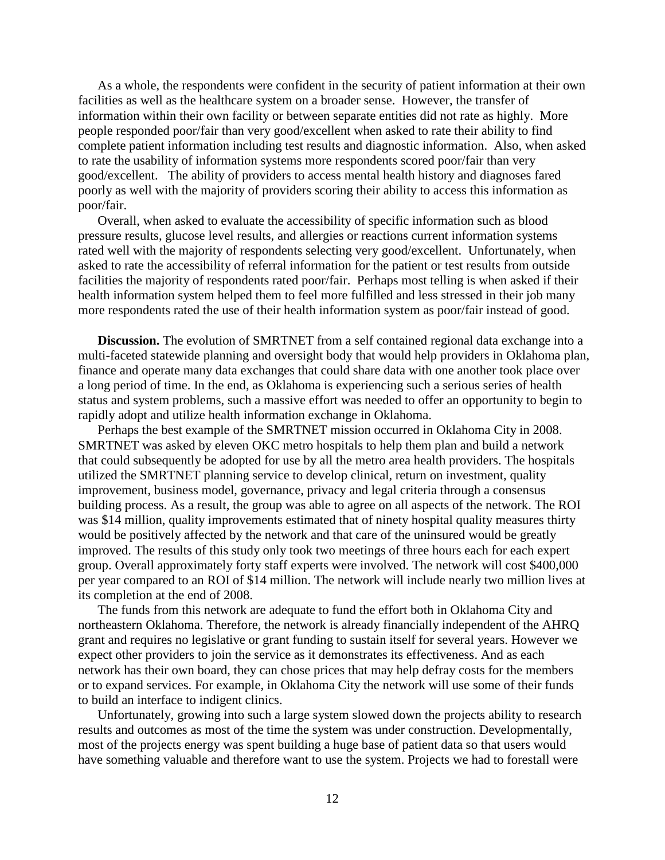As a whole, the respondents were confident in the security of patient information at their own facilities as well as the healthcare system on a broader sense. However, the transfer of information within their own facility or between separate entities did not rate as highly. More people responded poor/fair than very good/excellent when asked to rate their ability to find complete patient information including test results and diagnostic information. Also, when asked to rate the usability of information systems more respondents scored poor/fair than very good/excellent. The ability of providers to access mental health history and diagnoses fared poorly as well with the majority of providers scoring their ability to access this information as poor/fair.

Overall, when asked to evaluate the accessibility of specific information such as blood pressure results, glucose level results, and allergies or reactions current information systems rated well with the majority of respondents selecting very good/excellent. Unfortunately, when asked to rate the accessibility of referral information for the patient or test results from outside facilities the majority of respondents rated poor/fair. Perhaps most telling is when asked if their health information system helped them to feel more fulfilled and less stressed in their job many more respondents rated the use of their health information system as poor/fair instead of good.

**Discussion.** The evolution of SMRTNET from a self contained regional data exchange into a multi-faceted statewide planning and oversight body that would help providers in Oklahoma plan, finance and operate many data exchanges that could share data with one another took place over a long period of time. In the end, as Oklahoma is experiencing such a serious series of health status and system problems, such a massive effort was needed to offer an opportunity to begin to rapidly adopt and utilize health information exchange in Oklahoma.

Perhaps the best example of the SMRTNET mission occurred in Oklahoma City in 2008. SMRTNET was asked by eleven OKC metro hospitals to help them plan and build a network that could subsequently be adopted for use by all the metro area health providers. The hospitals utilized the SMRTNET planning service to develop clinical, return on investment, quality improvement, business model, governance, privacy and legal criteria through a consensus building process. As a result, the group was able to agree on all aspects of the network. The ROI was \$14 million, quality improvements estimated that of ninety hospital quality measures thirty would be positively affected by the network and that care of the uninsured would be greatly improved. The results of this study only took two meetings of three hours each for each expert group. Overall approximately forty staff experts were involved. The network will cost \$400,000 per year compared to an ROI of \$14 million. The network will include nearly two million lives at its completion at the end of 2008.

The funds from this network are adequate to fund the effort both in Oklahoma City and northeastern Oklahoma. Therefore, the network is already financially independent of the AHRQ grant and requires no legislative or grant funding to sustain itself for several years. However we expect other providers to join the service as it demonstrates its effectiveness. And as each network has their own board, they can chose prices that may help defray costs for the members or to expand services. For example, in Oklahoma City the network will use some of their funds to build an interface to indigent clinics.

Unfortunately, growing into such a large system slowed down the projects ability to research results and outcomes as most of the time the system was under construction. Developmentally, most of the projects energy was spent building a huge base of patient data so that users would have something valuable and therefore want to use the system. Projects we had to forestall were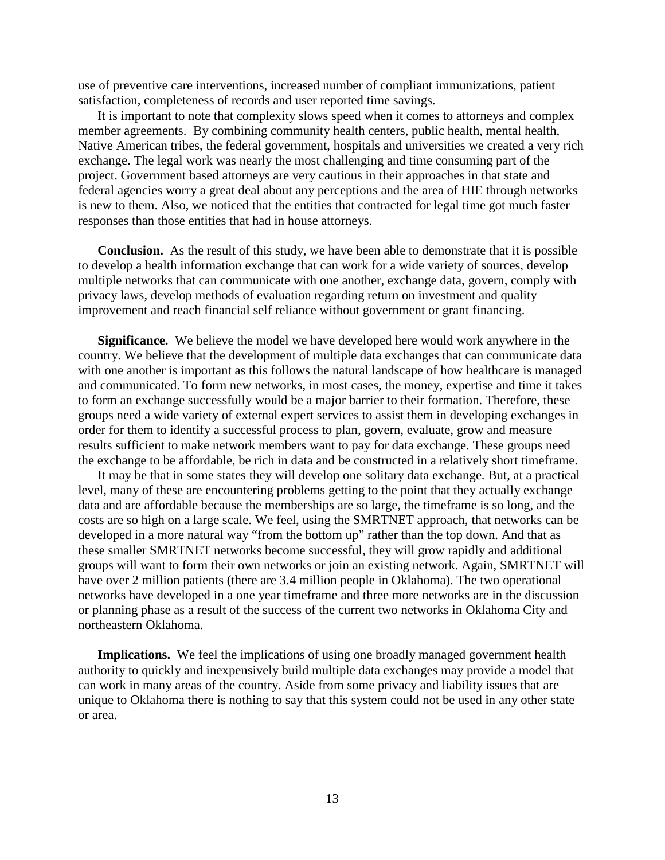use of preventive care interventions, increased number of compliant immunizations, patient satisfaction, completeness of records and user reported time savings.

It is important to note that complexity slows speed when it comes to attorneys and complex member agreements. By combining community health centers, public health, mental health, Native American tribes, the federal government, hospitals and universities we created a very rich exchange. The legal work was nearly the most challenging and time consuming part of the project. Government based attorneys are very cautious in their approaches in that state and federal agencies worry a great deal about any perceptions and the area of HIE through networks is new to them. Also, we noticed that the entities that contracted for legal time got much faster responses than those entities that had in house attorneys.

**Conclusion.** As the result of this study, we have been able to demonstrate that it is possible to develop a health information exchange that can work for a wide variety of sources, develop multiple networks that can communicate with one another, exchange data, govern, comply with privacy laws, develop methods of evaluation regarding return on investment and quality improvement and reach financial self reliance without government or grant financing.

**Significance.** We believe the model we have developed here would work anywhere in the country. We believe that the development of multiple data exchanges that can communicate data with one another is important as this follows the natural landscape of how healthcare is managed and communicated. To form new networks, in most cases, the money, expertise and time it takes to form an exchange successfully would be a major barrier to their formation. Therefore, these groups need a wide variety of external expert services to assist them in developing exchanges in order for them to identify a successful process to plan, govern, evaluate, grow and measure results sufficient to make network members want to pay for data exchange. These groups need the exchange to be affordable, be rich in data and be constructed in a relatively short timeframe.

It may be that in some states they will develop one solitary data exchange. But, at a practical level, many of these are encountering problems getting to the point that they actually exchange data and are affordable because the memberships are so large, the timeframe is so long, and the costs are so high on a large scale. We feel, using the SMRTNET approach, that networks can be developed in a more natural way "from the bottom up" rather than the top down. And that as these smaller SMRTNET networks become successful, they will grow rapidly and additional groups will want to form their own networks or join an existing network. Again, SMRTNET will have over 2 million patients (there are 3.4 million people in Oklahoma). The two operational networks have developed in a one year timeframe and three more networks are in the discussion or planning phase as a result of the success of the current two networks in Oklahoma City and northeastern Oklahoma.

**Implications.** We feel the implications of using one broadly managed government health authority to quickly and inexpensively build multiple data exchanges may provide a model that can work in many areas of the country. Aside from some privacy and liability issues that are unique to Oklahoma there is nothing to say that this system could not be used in any other state or area.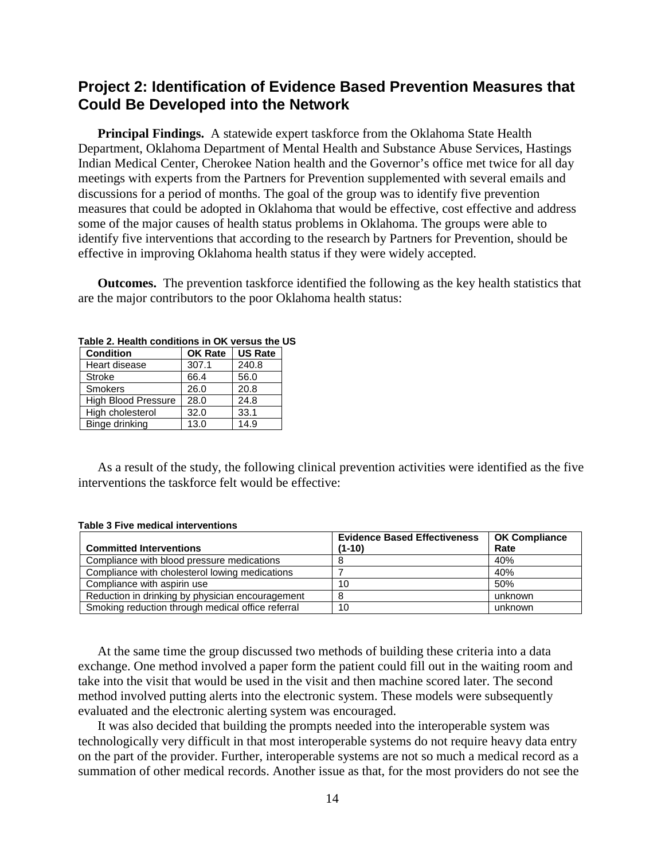### **Project 2: Identification of Evidence Based Prevention Measures that Could Be Developed into the Network**

**Principal Findings.** A statewide expert taskforce from the Oklahoma State Health Department, Oklahoma Department of Mental Health and Substance Abuse Services, Hastings Indian Medical Center, Cherokee Nation health and the Governor's office met twice for all day meetings with experts from the Partners for Prevention supplemented with several emails and discussions for a period of months. The goal of the group was to identify five prevention measures that could be adopted in Oklahoma that would be effective, cost effective and address some of the major causes of health status problems in Oklahoma. The groups were able to identify five interventions that according to the research by Partners for Prevention, should be effective in improving Oklahoma health status if they were widely accepted.

**Outcomes.** The prevention taskforce identified the following as the key health statistics that are the major contributors to the poor Oklahoma health status:

| <b>Condition</b>           | <b>OK Rate</b> | <b>US Rate</b> |  |
|----------------------------|----------------|----------------|--|
| Heart disease              | 307.1          | 240.8          |  |
| <b>Stroke</b>              | 66.4           | 56.0           |  |
| <b>Smokers</b>             | 26.0           | 20.8           |  |
| <b>High Blood Pressure</b> | 28.0           | 24.8           |  |
| High cholesterol           | 32.0           | 33.1           |  |
| Binge drinking             | 13.0           | 14.9           |  |

**Table 2. Health conditions in OK versus the US**

As a result of the study, the following clinical prevention activities were identified as the five interventions the taskforce felt would be effective:

#### **Table 3 Five medical interventions**

|                                                   | <b>Evidence Based Effectiveness</b> | <b>OK Compliance</b> |
|---------------------------------------------------|-------------------------------------|----------------------|
| <b>Committed Interventions</b>                    | $(1-10)$                            | Rate                 |
| Compliance with blood pressure medications        |                                     | 40%                  |
| Compliance with cholesterol lowing medications    |                                     | 40%                  |
| Compliance with aspirin use                       | 10                                  | 50%                  |
| Reduction in drinking by physician encouragement  |                                     | unknown              |
| Smoking reduction through medical office referral | 10                                  | unknown              |

At the same time the group discussed two methods of building these criteria into a data exchange. One method involved a paper form the patient could fill out in the waiting room and take into the visit that would be used in the visit and then machine scored later. The second method involved putting alerts into the electronic system. These models were subsequently evaluated and the electronic alerting system was encouraged.

It was also decided that building the prompts needed into the interoperable system was technologically very difficult in that most interoperable systems do not require heavy data entry on the part of the provider. Further, interoperable systems are not so much a medical record as a summation of other medical records. Another issue as that, for the most providers do not see the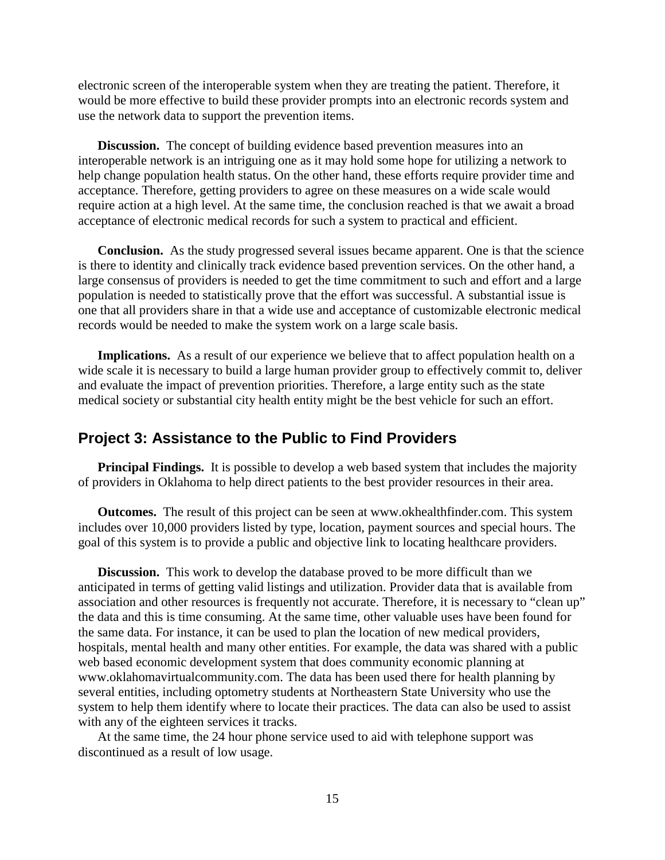electronic screen of the interoperable system when they are treating the patient. Therefore, it would be more effective to build these provider prompts into an electronic records system and use the network data to support the prevention items.

**Discussion.** The concept of building evidence based prevention measures into an interoperable network is an intriguing one as it may hold some hope for utilizing a network to help change population health status. On the other hand, these efforts require provider time and acceptance. Therefore, getting providers to agree on these measures on a wide scale would require action at a high level. At the same time, the conclusion reached is that we await a broad acceptance of electronic medical records for such a system to practical and efficient.

**Conclusion.** As the study progressed several issues became apparent. One is that the science is there to identity and clinically track evidence based prevention services. On the other hand, a large consensus of providers is needed to get the time commitment to such and effort and a large population is needed to statistically prove that the effort was successful. A substantial issue is one that all providers share in that a wide use and acceptance of customizable electronic medical records would be needed to make the system work on a large scale basis.

**Implications.** As a result of our experience we believe that to affect population health on a wide scale it is necessary to build a large human provider group to effectively commit to, deliver and evaluate the impact of prevention priorities. Therefore, a large entity such as the state medical society or substantial city health entity might be the best vehicle for such an effort.

#### **Project 3: Assistance to the Public to Find Providers**

**Principal Findings.** It is possible to develop a web based system that includes the majority of providers in Oklahoma to help direct patients to the best provider resources in their area.

**Outcomes.** The result of this project can be seen at [www.okhealthfinder.com.](http://www.okhealthfinder.com/) This system includes over 10,000 providers listed by type, location, payment sources and special hours. The goal of this system is to provide a public and objective link to locating healthcare providers.

**Discussion.** This work to develop the database proved to be more difficult than we anticipated in terms of getting valid listings and utilization. Provider data that is available from association and other resources is frequently not accurate. Therefore, it is necessary to "clean up" the data and this is time consuming. At the same time, other valuable uses have been found for the same data. For instance, it can be used to plan the location of new medical providers, hospitals, mental health and many other entities. For example, the data was shared with a public web based economic development system that does community economic planning at [www.oklahomavirtualcommunity.com.](http://www.oklahomavirtualcommunity.com/) The data has been used there for health planning by several entities, including optometry students at Northeastern State University who use the system to help them identify where to locate their practices. The data can also be used to assist with any of the eighteen services it tracks.

At the same time, the 24 hour phone service used to aid with telephone support was discontinued as a result of low usage.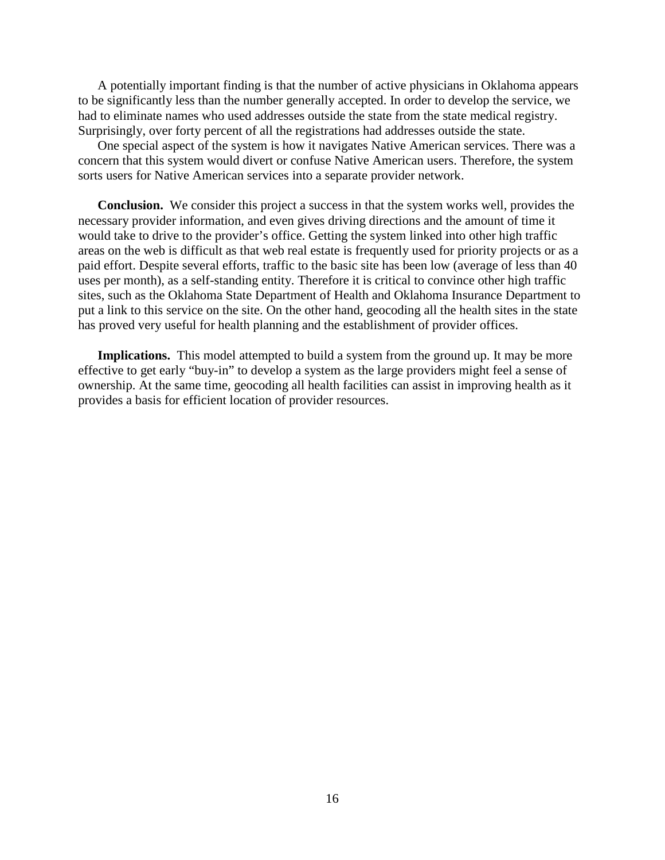A potentially important finding is that the number of active physicians in Oklahoma appears to be significantly less than the number generally accepted. In order to develop the service, we had to eliminate names who used addresses outside the state from the state medical registry. Surprisingly, over forty percent of all the registrations had addresses outside the state.

One special aspect of the system is how it navigates Native American services. There was a concern that this system would divert or confuse Native American users. Therefore, the system sorts users for Native American services into a separate provider network.

**Conclusion.** We consider this project a success in that the system works well, provides the necessary provider information, and even gives driving directions and the amount of time it would take to drive to the provider's office. Getting the system linked into other high traffic areas on the web is difficult as that web real estate is frequently used for priority projects or as a paid effort. Despite several efforts, traffic to the basic site has been low (average of less than 40 uses per month), as a self-standing entity. Therefore it is critical to convince other high traffic sites, such as the Oklahoma State Department of Health and Oklahoma Insurance Department to put a link to this service on the site. On the other hand, geocoding all the health sites in the state has proved very useful for health planning and the establishment of provider offices.

**Implications.** This model attempted to build a system from the ground up. It may be more effective to get early "buy-in" to develop a system as the large providers might feel a sense of ownership. At the same time, geocoding all health facilities can assist in improving health as it provides a basis for efficient location of provider resources.